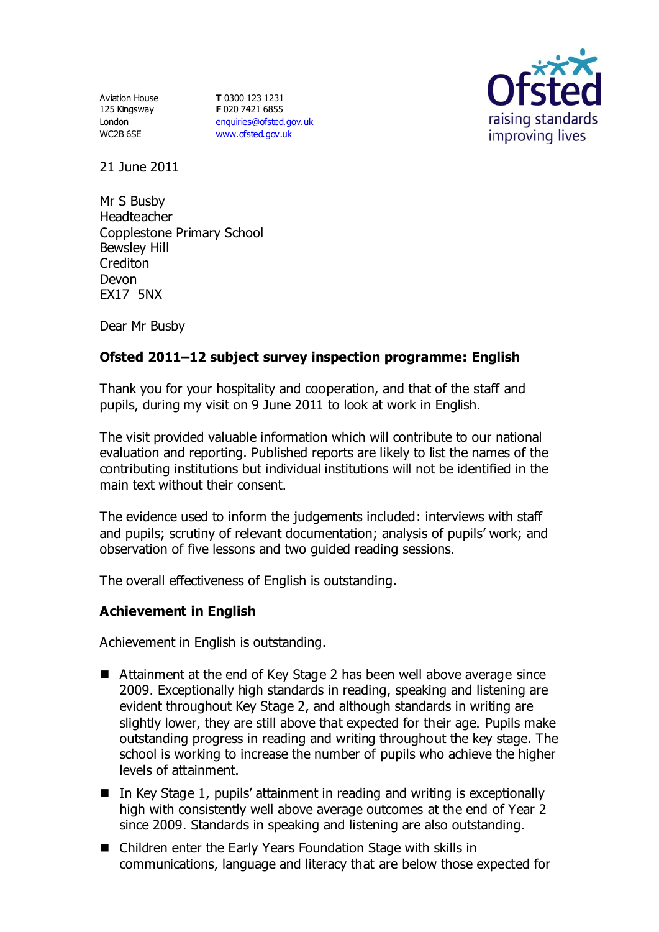Aviation House 125 Kingsway London WC2B 6SE

**T** 0300 123 1231 **F** 020 7421 6855 [enquiries@ofsted.gov.uk](mailto:enquiries@ofsted.gov.uk) [www.ofsted.gov.uk](http://www.ofsted.gov.uk/)



21 June 2011

Mr S Busby Headteacher Copplestone Primary School Bewsley Hill Crediton Devon EX17 5NX

Dear Mr Busby

# **Ofsted 2011–12 subject survey inspection programme: English**

Thank you for your hospitality and cooperation, and that of the staff and pupils, during my visit on 9 June 2011 to look at work in English.

The visit provided valuable information which will contribute to our national evaluation and reporting. Published reports are likely to list the names of the contributing institutions but individual institutions will not be identified in the main text without their consent.

The evidence used to inform the judgements included: interviews with staff and pupils; scrutiny of relevant documentation; analysis of pupils' work; and observation of five lessons and two guided reading sessions.

The overall effectiveness of English is outstanding.

### **Achievement in English**

Achievement in English is outstanding.

- Attainment at the end of Key Stage 2 has been well above average since 2009. Exceptionally high standards in reading, speaking and listening are evident throughout Key Stage 2, and although standards in writing are slightly lower, they are still above that expected for their age. Pupils make outstanding progress in reading and writing throughout the key stage. The school is working to increase the number of pupils who achieve the higher levels of attainment.
- In Key Stage 1, pupils' attainment in reading and writing is exceptionally high with consistently well above average outcomes at the end of Year 2 since 2009. Standards in speaking and listening are also outstanding.
- Children enter the Early Years Foundation Stage with skills in communications, language and literacy that are below those expected for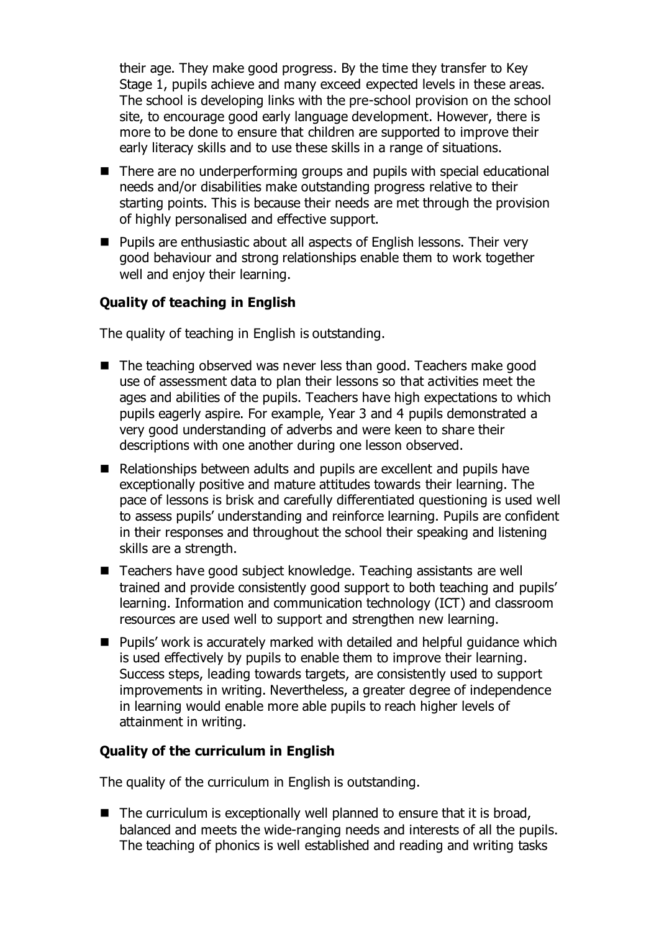their age. They make good progress. By the time they transfer to Key Stage 1, pupils achieve and many exceed expected levels in these areas. The school is developing links with the pre-school provision on the school site, to encourage good early language development. However, there is more to be done to ensure that children are supported to improve their early literacy skills and to use these skills in a range of situations.

- There are no underperforming groups and pupils with special educational needs and/or disabilities make outstanding progress relative to their starting points. This is because their needs are met through the provision of highly personalised and effective support.
- Pupils are enthusiastic about all aspects of English lessons. Their very good behaviour and strong relationships enable them to work together well and enjoy their learning.

## **Quality of teaching in English**

The quality of teaching in English is outstanding.

- The teaching observed was never less than good. Teachers make good use of assessment data to plan their lessons so that activities meet the ages and abilities of the pupils. Teachers have high expectations to which pupils eagerly aspire. For example, Year 3 and 4 pupils demonstrated a very good understanding of adverbs and were keen to share their descriptions with one another during one lesson observed.
- Relationships between adults and pupils are excellent and pupils have exceptionally positive and mature attitudes towards their learning. The pace of lessons is brisk and carefully differentiated questioning is used well to assess pupils' understanding and reinforce learning. Pupils are confident in their responses and throughout the school their speaking and listening skills are a strength.
- Teachers have good subject knowledge. Teaching assistants are well trained and provide consistently good support to both teaching and pupils' learning. Information and communication technology (ICT) and classroom resources are used well to support and strengthen new learning.
- Pupils' work is accurately marked with detailed and helpful guidance which is used effectively by pupils to enable them to improve their learning. Success steps, leading towards targets, are consistently used to support improvements in writing. Nevertheless, a greater degree of independence in learning would enable more able pupils to reach higher levels of attainment in writing.

### **Quality of the curriculum in English**

The quality of the curriculum in English is outstanding.

 $\blacksquare$  The curriculum is exceptionally well planned to ensure that it is broad, balanced and meets the wide-ranging needs and interests of all the pupils. The teaching of phonics is well established and reading and writing tasks